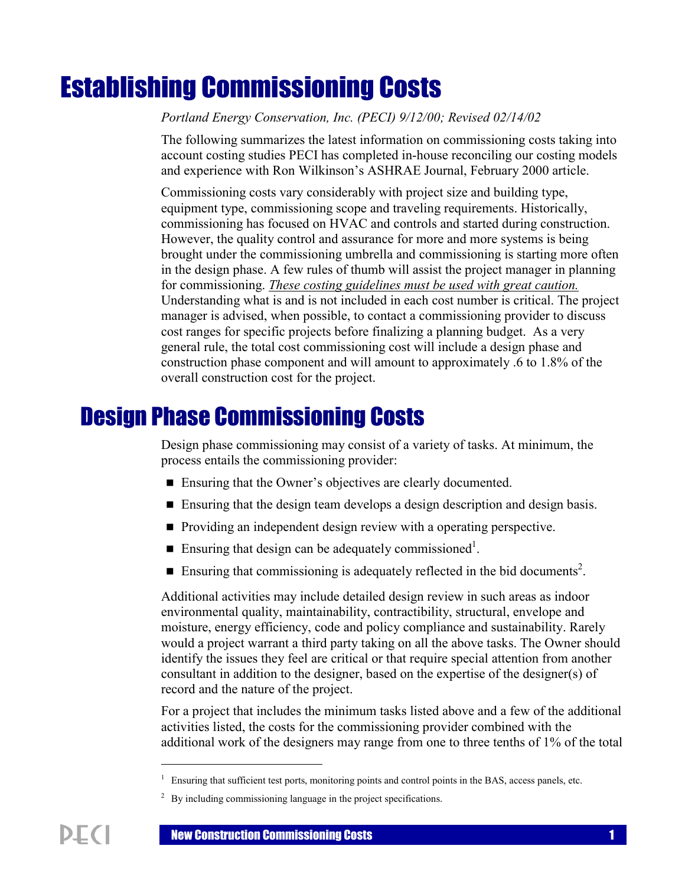# Establishing Commissioning Costs

*Portland Energy Conservation, Inc. (PECI) 9/12/00; Revised 02/14/02*

The following summarizes the latest information on commissioning costs taking into account costing studies PECI has completed in-house reconciling our costing models and experience with Ron Wilkinson's ASHRAE Journal, February 2000 article.

Commissioning costs vary considerably with project size and building type, equipment type, commissioning scope and traveling requirements. Historically, commissioning has focused on HVAC and controls and started during construction. However, the quality control and assurance for more and more systems is being brought under the commissioning umbrella and commissioning is starting more often in the design phase. A few rules of thumb will assist the project manager in planning for commissioning. *These costing guidelines must be used with great caution.* Understanding what is and is not included in each cost number is critical. The project manager is advised, when possible, to contact a commissioning provider to discuss cost ranges for specific projects before finalizing a planning budget. As a very general rule, the total cost commissioning cost will include a design phase and construction phase component and will amount to approximately .6 to 1.8% of the overall construction cost for the project.

## Design Phase Commissioning Costs

Design phase commissioning may consist of a variety of tasks. At minimum, the process entails the commissioning provider:

- Ensuring that the Owner's objectives are clearly documented.
- Ensuring that the design team develops a design description and design basis.
- **Providing an independent design review with a operating perspective.**
- Ensuring that design can be adequately commissioned<sup>1</sup>.
- Ensuring that commissioning is adequately reflected in the bid documents<sup>2</sup>.

Additional activities may include detailed design review in such areas as indoor environmental quality, maintainability, contractibility, structural, envelope and moisture, energy efficiency, code and policy compliance and sustainability. Rarely would a project warrant a third party taking on all the above tasks. The Owner should identify the issues they feel are critical or that require special attention from another consultant in addition to the designer, based on the expertise of the designer(s) of record and the nature of the project.

For a project that includes the minimum tasks listed above and a few of the additional activities listed, the costs for the commissioning provider combined with the additional work of the designers may range from one to three tenths of 1% of the total

 $\overline{a}$ 

<sup>&</sup>lt;sup>1</sup> Ensuring that sufficient test ports, monitoring points and control points in the BAS, access panels, etc.

<sup>&</sup>lt;sup>2</sup> By including commissioning language in the project specifications.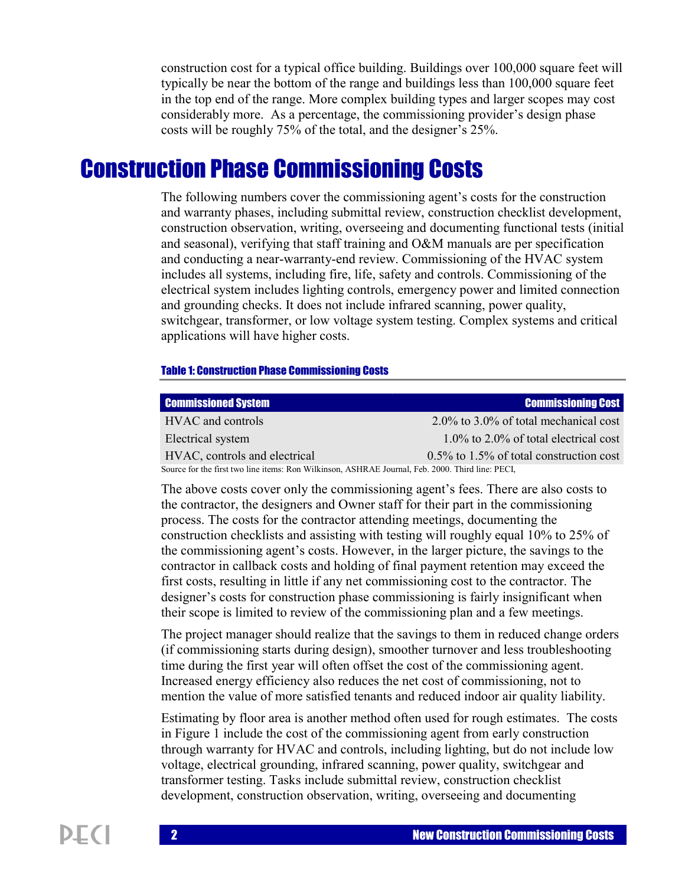construction cost for a typical office building. Buildings over 100,000 square feet will typically be near the bottom of the range and buildings less than 100,000 square feet in the top end of the range. More complex building types and larger scopes may cost considerably more. As a percentage, the commissioning provider's design phase costs will be roughly 75% of the total, and the designer's 25%.

## Construction Phase Commissioning Costs

The following numbers cover the commissioning agent's costs for the construction and warranty phases, including submittal review, construction checklist development, construction observation, writing, overseeing and documenting functional tests (initial and seasonal), verifying that staff training and O&M manuals are per specification and conducting a near-warranty-end review. Commissioning of the HVAC system includes all systems, including fire, life, safety and controls. Commissioning of the electrical system includes lighting controls, emergency power and limited connection and grounding checks. It does not include infrared scanning, power quality, switchgear, transformer, or low voltage system testing. Complex systems and critical applications will have higher costs.

#### Table 1: Construction Phase Commissioning Costs

| <b>Commissioned System</b>                                                                      | <b>Commissioning Cost</b>                  |
|-------------------------------------------------------------------------------------------------|--------------------------------------------|
| HVAC and controls                                                                               | $2.0\%$ to 3.0% of total mechanical cost   |
| Electrical system                                                                               | $1.0\%$ to 2.0% of total electrical cost   |
| HVAC, controls and electrical                                                                   | $0.5\%$ to 1.5% of total construction cost |
| Source for the first two line items: Ron Wilkinson, ASHRAE Journal, Eeb, 2000, Third line: PECI |                                            |

Source for the first two line items: Ron Wilkinson, ASHRAE Journal, Feb. 2000. Third line: PECI,

The above costs cover only the commissioning agent's fees. There are also costs to the contractor, the designers and Owner staff for their part in the commissioning process. The costs for the contractor attending meetings, documenting the construction checklists and assisting with testing will roughly equal 10% to 25% of the commissioning agent's costs. However, in the larger picture, the savings to the contractor in callback costs and holding of final payment retention may exceed the first costs, resulting in little if any net commissioning cost to the contractor. The designer's costs for construction phase commissioning is fairly insignificant when their scope is limited to review of the commissioning plan and a few meetings.

The project manager should realize that the savings to them in reduced change orders (if commissioning starts during design), smoother turnover and less troubleshooting time during the first year will often offset the cost of the commissioning agent. Increased energy efficiency also reduces the net cost of commissioning, not to mention the value of more satisfied tenants and reduced indoor air quality liability.

Estimating by floor area is another method often used for rough estimates. The costs in Figure 1 include the cost of the commissioning agent from early construction through warranty for HVAC and controls, including lighting, but do not include low voltage, electrical grounding, infrared scanning, power quality, switchgear and transformer testing. Tasks include submittal review, construction checklist development, construction observation, writing, overseeing and documenting

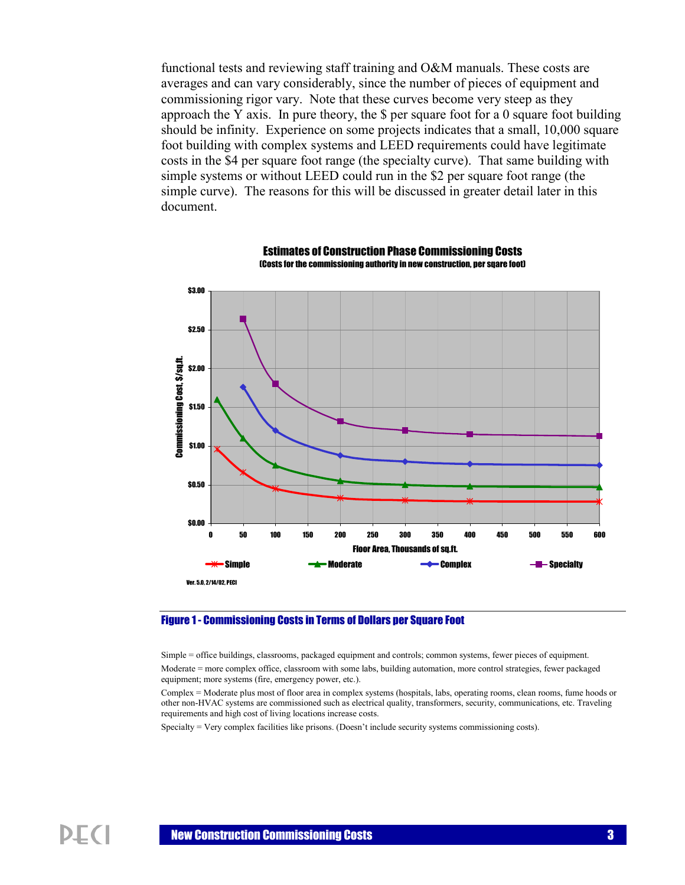functional tests and reviewing staff training and O&M manuals. These costs are averages and can vary considerably, since the number of pieces of equipment and commissioning rigor vary. Note that these curves become very steep as they approach the Y axis. In pure theory, the \$ per square foot for a 0 square foot building should be infinity. Experience on some projects indicates that a small, 10,000 square foot building with complex systems and LEED requirements could have legitimate costs in the \$4 per square foot range (the specialty curve). That same building with simple systems or without LEED could run in the \$2 per square foot range (the simple curve). The reasons for this will be discussed in greater detail later in this document.



Estimates of Construction Phase Commissioning Costs (Costs for the commissioning authority in new construction, per sqare foot)

#### Figure 1 - Commissioning Costs in Terms of Dollars per Square Foot

Simple = office buildings, classrooms, packaged equipment and controls; common systems, fewer pieces of equipment. Moderate = more complex office, classroom with some labs, building automation, more control strategies, fewer packaged equipment; more systems (fire, emergency power, etc.).

Complex = Moderate plus most of floor area in complex systems (hospitals, labs, operating rooms, clean rooms, fume hoods or other non-HVAC systems are commissioned such as electrical quality, transformers, security, communications, etc. Traveling requirements and high cost of living locations increase costs.

Specialty = Very complex facilities like prisons. (Doesn't include security systems commissioning costs).

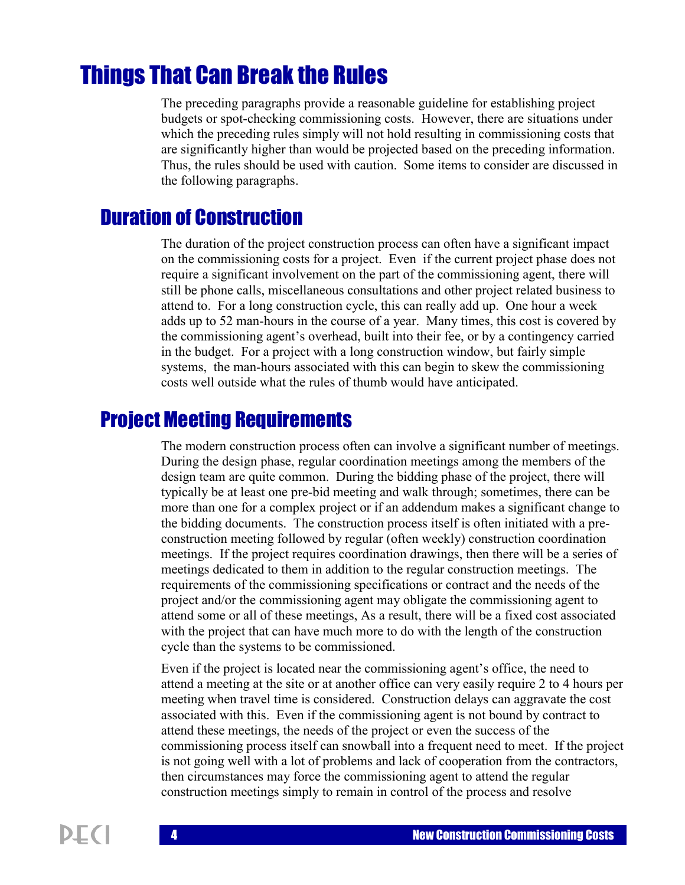## Things That Can Break the Rules

The preceding paragraphs provide a reasonable guideline for establishing project budgets or spot-checking commissioning costs. However, there are situations under which the preceding rules simply will not hold resulting in commissioning costs that are significantly higher than would be projected based on the preceding information. Thus, the rules should be used with caution. Some items to consider are discussed in the following paragraphs.

### Duration of Construction

The duration of the project construction process can often have a significant impact on the commissioning costs for a project. Even if the current project phase does not require a significant involvement on the part of the commissioning agent, there will still be phone calls, miscellaneous consultations and other project related business to attend to. For a long construction cycle, this can really add up. One hour a week adds up to 52 man-hours in the course of a year. Many times, this cost is covered by the commissioning agent's overhead, built into their fee, or by a contingency carried in the budget. For a project with a long construction window, but fairly simple systems, the man-hours associated with this can begin to skew the commissioning costs well outside what the rules of thumb would have anticipated.

### Project Meeting Requirements

The modern construction process often can involve a significant number of meetings. During the design phase, regular coordination meetings among the members of the design team are quite common. During the bidding phase of the project, there will typically be at least one pre-bid meeting and walk through; sometimes, there can be more than one for a complex project or if an addendum makes a significant change to the bidding documents. The construction process itself is often initiated with a preconstruction meeting followed by regular (often weekly) construction coordination meetings. If the project requires coordination drawings, then there will be a series of meetings dedicated to them in addition to the regular construction meetings. The requirements of the commissioning specifications or contract and the needs of the project and/or the commissioning agent may obligate the commissioning agent to attend some or all of these meetings, As a result, there will be a fixed cost associated with the project that can have much more to do with the length of the construction cycle than the systems to be commissioned.

Even if the project is located near the commissioning agent's office, the need to attend a meeting at the site or at another office can very easily require 2 to 4 hours per meeting when travel time is considered. Construction delays can aggravate the cost associated with this. Even if the commissioning agent is not bound by contract to attend these meetings, the needs of the project or even the success of the commissioning process itself can snowball into a frequent need to meet. If the project is not going well with a lot of problems and lack of cooperation from the contractors, then circumstances may force the commissioning agent to attend the regular construction meetings simply to remain in control of the process and resolve

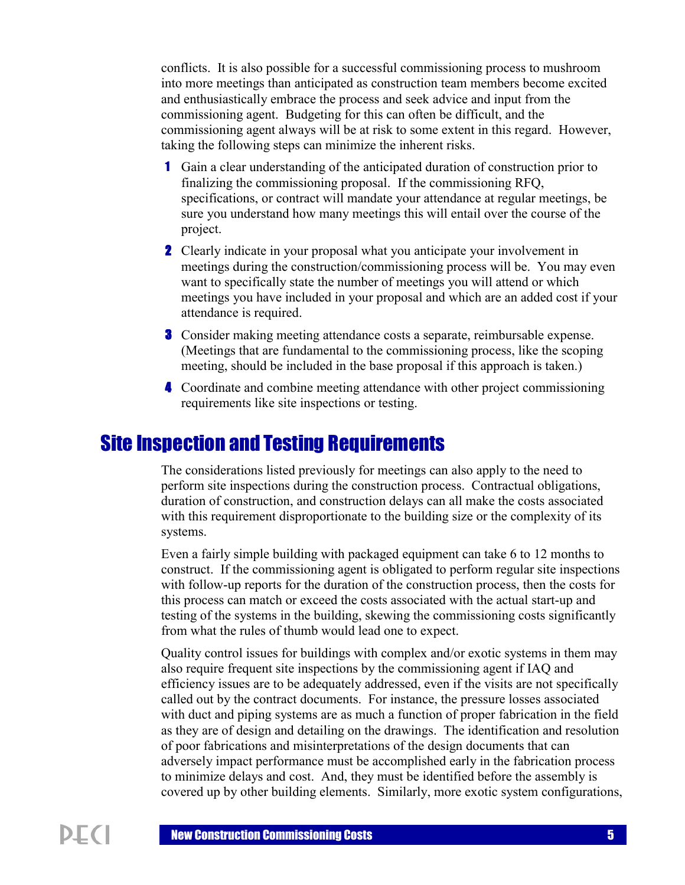conflicts. It is also possible for a successful commissioning process to mushroom into more meetings than anticipated as construction team members become excited and enthusiastically embrace the process and seek advice and input from the commissioning agent. Budgeting for this can often be difficult, and the commissioning agent always will be at risk to some extent in this regard. However, taking the following steps can minimize the inherent risks.

- 1 Gain a clear understanding of the anticipated duration of construction prior to finalizing the commissioning proposal. If the commissioning RFQ, specifications, or contract will mandate your attendance at regular meetings, be sure you understand how many meetings this will entail over the course of the project.
- **2** Clearly indicate in your proposal what you anticipate your involvement in meetings during the construction/commissioning process will be. You may even want to specifically state the number of meetings you will attend or which meetings you have included in your proposal and which are an added cost if your attendance is required.
- 3 Consider making meeting attendance costs a separate, reimbursable expense. (Meetings that are fundamental to the commissioning process, like the scoping meeting, should be included in the base proposal if this approach is taken.)
- 4 Coordinate and combine meeting attendance with other project commissioning requirements like site inspections or testing.

#### Site Inspection and Testing Requirements

The considerations listed previously for meetings can also apply to the need to perform site inspections during the construction process. Contractual obligations, duration of construction, and construction delays can all make the costs associated with this requirement disproportionate to the building size or the complexity of its systems.

Even a fairly simple building with packaged equipment can take 6 to 12 months to construct. If the commissioning agent is obligated to perform regular site inspections with follow-up reports for the duration of the construction process, then the costs for this process can match or exceed the costs associated with the actual start-up and testing of the systems in the building, skewing the commissioning costs significantly from what the rules of thumb would lead one to expect.

Quality control issues for buildings with complex and/or exotic systems in them may also require frequent site inspections by the commissioning agent if IAQ and efficiency issues are to be adequately addressed, even if the visits are not specifically called out by the contract documents. For instance, the pressure losses associated with duct and piping systems are as much a function of proper fabrication in the field as they are of design and detailing on the drawings. The identification and resolution of poor fabrications and misinterpretations of the design documents that can adversely impact performance must be accomplished early in the fabrication process to minimize delays and cost. And, they must be identified before the assembly is covered up by other building elements. Similarly, more exotic system configurations,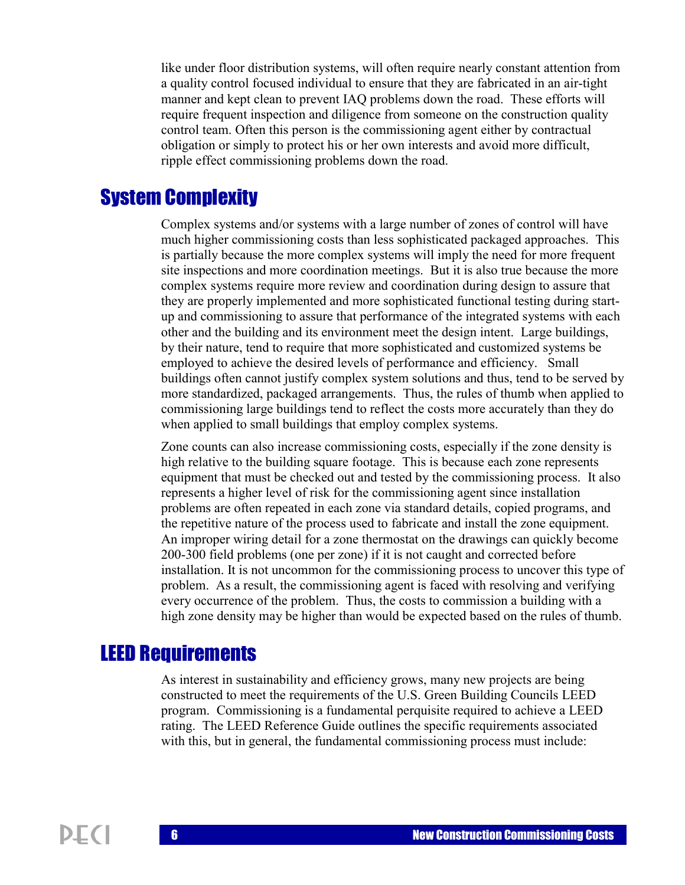like under floor distribution systems, will often require nearly constant attention from a quality control focused individual to ensure that they are fabricated in an air-tight manner and kept clean to prevent IAQ problems down the road. These efforts will require frequent inspection and diligence from someone on the construction quality control team. Often this person is the commissioning agent either by contractual obligation or simply to protect his or her own interests and avoid more difficult, ripple effect commissioning problems down the road.

### System Complexity

Complex systems and/or systems with a large number of zones of control will have much higher commissioning costs than less sophisticated packaged approaches. This is partially because the more complex systems will imply the need for more frequent site inspections and more coordination meetings. But it is also true because the more complex systems require more review and coordination during design to assure that they are properly implemented and more sophisticated functional testing during startup and commissioning to assure that performance of the integrated systems with each other and the building and its environment meet the design intent. Large buildings, by their nature, tend to require that more sophisticated and customized systems be employed to achieve the desired levels of performance and efficiency. Small buildings often cannot justify complex system solutions and thus, tend to be served by more standardized, packaged arrangements. Thus, the rules of thumb when applied to commissioning large buildings tend to reflect the costs more accurately than they do when applied to small buildings that employ complex systems.

Zone counts can also increase commissioning costs, especially if the zone density is high relative to the building square footage. This is because each zone represents equipment that must be checked out and tested by the commissioning process. It also represents a higher level of risk for the commissioning agent since installation problems are often repeated in each zone via standard details, copied programs, and the repetitive nature of the process used to fabricate and install the zone equipment. An improper wiring detail for a zone thermostat on the drawings can quickly become 200-300 field problems (one per zone) if it is not caught and corrected before installation. It is not uncommon for the commissioning process to uncover this type of problem. As a result, the commissioning agent is faced with resolving and verifying every occurrence of the problem. Thus, the costs to commission a building with a high zone density may be higher than would be expected based on the rules of thumb.

#### LEED Requirements

As interest in sustainability and efficiency grows, many new projects are being constructed to meet the requirements of the U.S. Green Building Councils LEED program. Commissioning is a fundamental perquisite required to achieve a LEED rating. The LEED Reference Guide outlines the specific requirements associated with this, but in general, the fundamental commissioning process must include:

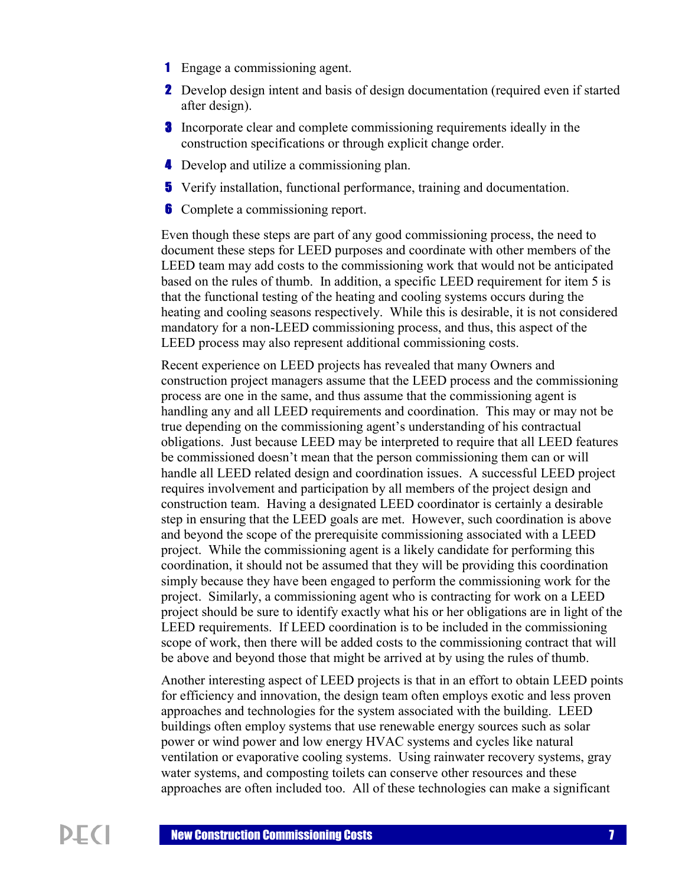- 1 Engage a commissioning agent.
- 2 Develop design intent and basis of design documentation (required even if started after design).
- 3 Incorporate clear and complete commissioning requirements ideally in the construction specifications or through explicit change order.
- **4** Develop and utilize a commissioning plan.
- 5 Verify installation, functional performance, training and documentation.
- **6** Complete a commissioning report.

Even though these steps are part of any good commissioning process, the need to document these steps for LEED purposes and coordinate with other members of the LEED team may add costs to the commissioning work that would not be anticipated based on the rules of thumb. In addition, a specific LEED requirement for item 5 is that the functional testing of the heating and cooling systems occurs during the heating and cooling seasons respectively. While this is desirable, it is not considered mandatory for a non-LEED commissioning process, and thus, this aspect of the LEED process may also represent additional commissioning costs.

Recent experience on LEED projects has revealed that many Owners and construction project managers assume that the LEED process and the commissioning process are one in the same, and thus assume that the commissioning agent is handling any and all LEED requirements and coordination. This may or may not be true depending on the commissioning agent's understanding of his contractual obligations. Just because LEED may be interpreted to require that all LEED features be commissioned doesn't mean that the person commissioning them can or will handle all LEED related design and coordination issues. A successful LEED project requires involvement and participation by all members of the project design and construction team. Having a designated LEED coordinator is certainly a desirable step in ensuring that the LEED goals are met. However, such coordination is above and beyond the scope of the prerequisite commissioning associated with a LEED project. While the commissioning agent is a likely candidate for performing this coordination, it should not be assumed that they will be providing this coordination simply because they have been engaged to perform the commissioning work for the project. Similarly, a commissioning agent who is contracting for work on a LEED project should be sure to identify exactly what his or her obligations are in light of the LEED requirements. If LEED coordination is to be included in the commissioning scope of work, then there will be added costs to the commissioning contract that will be above and beyond those that might be arrived at by using the rules of thumb.

Another interesting aspect of LEED projects is that in an effort to obtain LEED points for efficiency and innovation, the design team often employs exotic and less proven approaches and technologies for the system associated with the building. LEED buildings often employ systems that use renewable energy sources such as solar power or wind power and low energy HVAC systems and cycles like natural ventilation or evaporative cooling systems. Using rainwater recovery systems, gray water systems, and composting toilets can conserve other resources and these approaches are often included too. All of these technologies can make a significant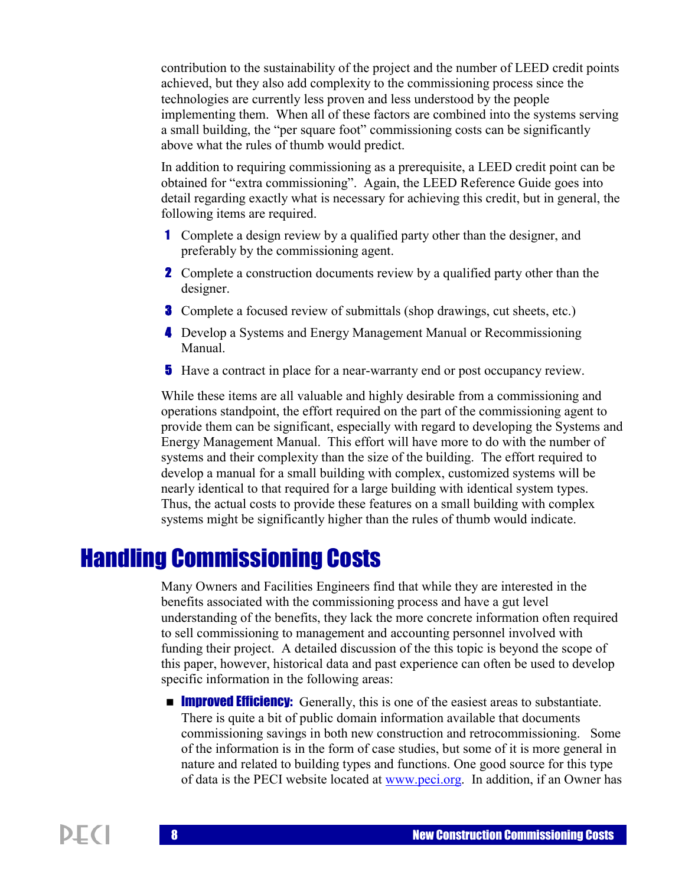contribution to the sustainability of the project and the number of LEED credit points achieved, but they also add complexity to the commissioning process since the technologies are currently less proven and less understood by the people implementing them. When all of these factors are combined into the systems serving a small building, the "per square foot" commissioning costs can be significantly above what the rules of thumb would predict.

In addition to requiring commissioning as a prerequisite, a LEED credit point can be obtained for "extra commissioning". Again, the LEED Reference Guide goes into detail regarding exactly what is necessary for achieving this credit, but in general, the following items are required.

- 1 Complete a design review by a qualified party other than the designer, and preferably by the commissioning agent.
- **2** Complete a construction documents review by a qualified party other than the designer.
- 3 Complete a focused review of submittals (shop drawings, cut sheets, etc.)
- **4** Develop a Systems and Energy Management Manual or Recommissioning Manual.
- 5 Have a contract in place for a near-warranty end or post occupancy review.

While these items are all valuable and highly desirable from a commissioning and operations standpoint, the effort required on the part of the commissioning agent to provide them can be significant, especially with regard to developing the Systems and Energy Management Manual. This effort will have more to do with the number of systems and their complexity than the size of the building. The effort required to develop a manual for a small building with complex, customized systems will be nearly identical to that required for a large building with identical system types. Thus, the actual costs to provide these features on a small building with complex systems might be significantly higher than the rules of thumb would indicate.

## Handling Commissioning Costs

Many Owners and Facilities Engineers find that while they are interested in the benefits associated with the commissioning process and have a gut level understanding of the benefits, they lack the more concrete information often required to sell commissioning to management and accounting personnel involved with funding their project. A detailed discussion of the this topic is beyond the scope of this paper, however, historical data and past experience can often be used to develop specific information in the following areas:

**Improved Efficiency:** Generally, this is one of the easiest areas to substantiate. There is quite a bit of public domain information available that documents commissioning savings in both new construction and retrocommissioning. Some of the information is in the form of case studies, but some of it is more general in nature and related to building types and functions. One good source for this type of data is the PECI website located at www.peci.org. In addition, if an Owner has

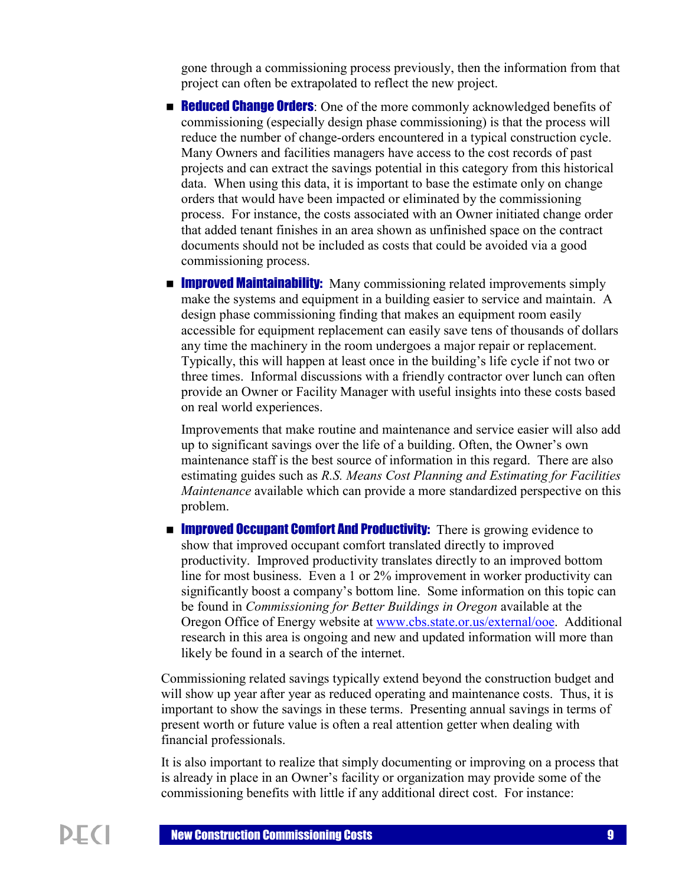gone through a commissioning process previously, then the information from that project can often be extrapolated to reflect the new project.

- **Reduced Change Orders**: One of the more commonly acknowledged benefits of commissioning (especially design phase commissioning) is that the process will reduce the number of change-orders encountered in a typical construction cycle. Many Owners and facilities managers have access to the cost records of past projects and can extract the savings potential in this category from this historical data. When using this data, it is important to base the estimate only on change orders that would have been impacted or eliminated by the commissioning process. For instance, the costs associated with an Owner initiated change order that added tenant finishes in an area shown as unfinished space on the contract documents should not be included as costs that could be avoided via a good commissioning process.
- **Improved Maintainability:** Many commissioning related improvements simply make the systems and equipment in a building easier to service and maintain. A design phase commissioning finding that makes an equipment room easily accessible for equipment replacement can easily save tens of thousands of dollars any time the machinery in the room undergoes a major repair or replacement. Typically, this will happen at least once in the building's life cycle if not two or three times. Informal discussions with a friendly contractor over lunch can often provide an Owner or Facility Manager with useful insights into these costs based on real world experiences.

Improvements that make routine and maintenance and service easier will also add up to significant savings over the life of a building. Often, the Owner's own maintenance staff is the best source of information in this regard. There are also estimating guides such as *R.S. Means Cost Planning and Estimating for Facilities Maintenance* available which can provide a more standardized perspective on this problem.

**Improved Occupant Comfort And Productivity:** There is growing evidence to show that improved occupant comfort translated directly to improved productivity. Improved productivity translates directly to an improved bottom line for most business. Even a 1 or 2% improvement in worker productivity can significantly boost a company's bottom line. Some information on this topic can be found in *Commissioning for Better Buildings in Oregon* available at the Oregon Office of Energy website at www.cbs.state.or.us/external/ooe. Additional research in this area is ongoing and new and updated information will more than likely be found in a search of the internet.

Commissioning related savings typically extend beyond the construction budget and will show up year after year as reduced operating and maintenance costs. Thus, it is important to show the savings in these terms. Presenting annual savings in terms of present worth or future value is often a real attention getter when dealing with financial professionals.

It is also important to realize that simply documenting or improving on a process that is already in place in an Owner's facility or organization may provide some of the commissioning benefits with little if any additional direct cost. For instance: